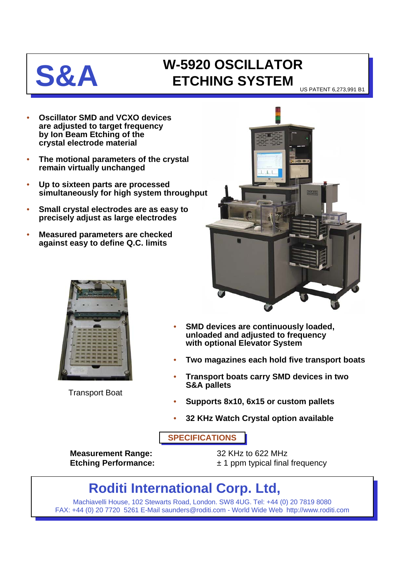

## **S&A W-5920 OSCILLATOR ETCHING SYSTEM**

US PATENT 6,273,991 B1

- **Oscillator SMD and VCXO devices are adjusted to target frequency by Ion Beam Etching of the crystal electrode material**
- **The motional parameters of the crystal remain virtually unchanged**
- **Up to sixteen parts are processed simultaneously for high system throughput**
- **Small crystal electrodes are as easy to precisely adjust as large electrodes**
- **Measured parameters are checked against easy to define Q.C. limits**



Transport Boat

- **SMD devices are continuously loaded, unloaded and adjusted to frequency with optional Elevator System**
- **Two magazines each hold five transport boats**
- **Transport boats carry SMD devices in two S&A pallets**
- **Supports 8x10, 6x15 or custom pallets**
- **32 KHz Watch Crystal option available**

**SPECIFICATIONS**

**Measurement Range:** 32 KHz to 622 MHz

**Etching Performance:**  $\pm 1$  ppm typical final frequency

## **Roditi International Corp. Ltd,**

Machiavelli House, 102 Stewarts Road, London. SW8 4UG. Tel: +44 (0) 20 7819 8080 FAX: +44 (0) 20 7720 5261 E-Mail saunders@roditi.com - World Wide Web http://www.roditi.com